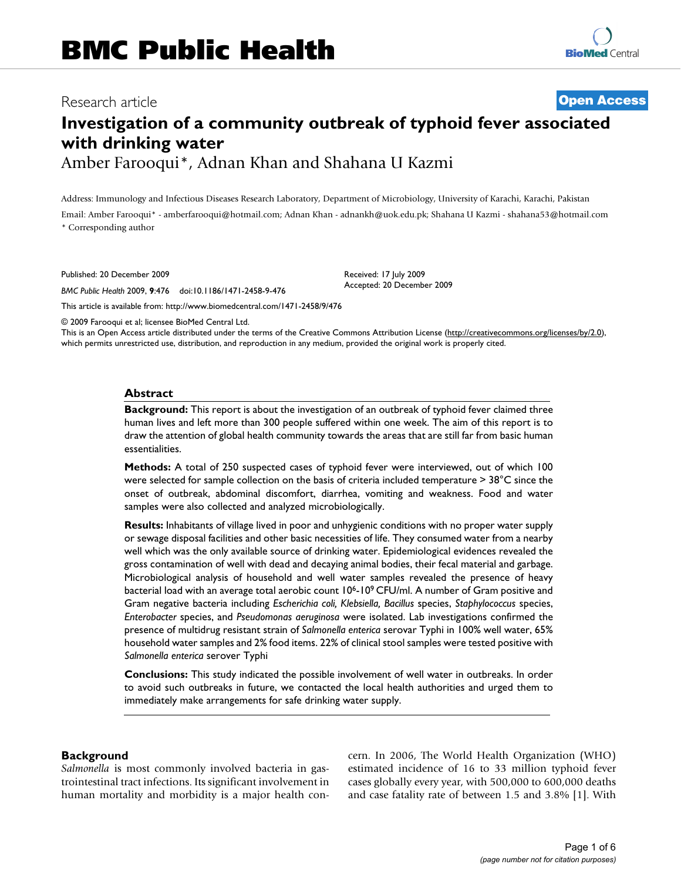## Research article **[Open Access](http://www.biomedcentral.com/info/about/charter/)**

# **Investigation of a community outbreak of typhoid fever associated with drinking water**

Amber Farooqui\*, Adnan Khan and Shahana U Kazmi

Address: Immunology and Infectious Diseases Research Laboratory, Department of Microbiology, University of Karachi, Karachi, Pakistan

Email: Amber Farooqui\* - amberfarooqui@hotmail.com; Adnan Khan - adnankh@uok.edu.pk; Shahana U Kazmi - shahana53@hotmail.com \* Corresponding author

> Received: 17 July 2009 Accepted: 20 December 2009

Published: 20 December 2009

*BMC Public Health* 2009, **9**:476 doi:10.1186/1471-2458-9-476

[This article is available from: http://www.biomedcentral.com/1471-2458/9/476](http://www.biomedcentral.com/1471-2458/9/476)

© 2009 Farooqui et al; licensee BioMed Central Ltd.

This is an Open Access article distributed under the terms of the Creative Commons Attribution License [\(http://creativecommons.org/licenses/by/2.0\)](http://creativecommons.org/licenses/by/2.0), which permits unrestricted use, distribution, and reproduction in any medium, provided the original work is properly cited.

#### **Abstract**

**Background:** This report is about the investigation of an outbreak of typhoid fever claimed three human lives and left more than 300 people suffered within one week. The aim of this report is to draw the attention of global health community towards the areas that are still far from basic human essentialities.

**Methods:** A total of 250 suspected cases of typhoid fever were interviewed, out of which 100 were selected for sample collection on the basis of criteria included temperature > 38°C since the onset of outbreak, abdominal discomfort, diarrhea, vomiting and weakness. Food and water samples were also collected and analyzed microbiologically.

**Results:** Inhabitants of village lived in poor and unhygienic conditions with no proper water supply or sewage disposal facilities and other basic necessities of life. They consumed water from a nearby well which was the only available source of drinking water. Epidemiological evidences revealed the gross contamination of well with dead and decaying animal bodies, their fecal material and garbage. Microbiological analysis of household and well water samples revealed the presence of heavy bacterial load with an average total aerobic count 10<sup>6</sup>-10<sup>9</sup> CFU/ml. A number of Gram positive and Gram negative bacteria including *Escherichia coli, Klebsiella, Bacillus* species, *Staphylococcus* species, *Enterobacter* species, and *Pseudomonas aeruginosa* were isolated. Lab investigations confirmed the presence of multidrug resistant strain of *Salmonella enterica* serovar Typhi in 100% well water, 65% household water samples and 2% food items. 22% of clinical stool samples were tested positive with *Salmonella enterica* serover Typhi

**Conclusions:** This study indicated the possible involvement of well water in outbreaks. In order to avoid such outbreaks in future, we contacted the local health authorities and urged them to immediately make arrangements for safe drinking water supply.

## **Background**

*Salmonella* is most commonly involved bacteria in gastrointestinal tract infections. Its significant involvement in human mortality and morbidity is a major health concern. In 2006, The World Health Organization (WHO) estimated incidence of 16 to 33 million typhoid fever cases globally every year, with 500,000 to 600,000 deaths and case fatality rate of between 1.5 and 3.8% [[1](#page-5-0)]. With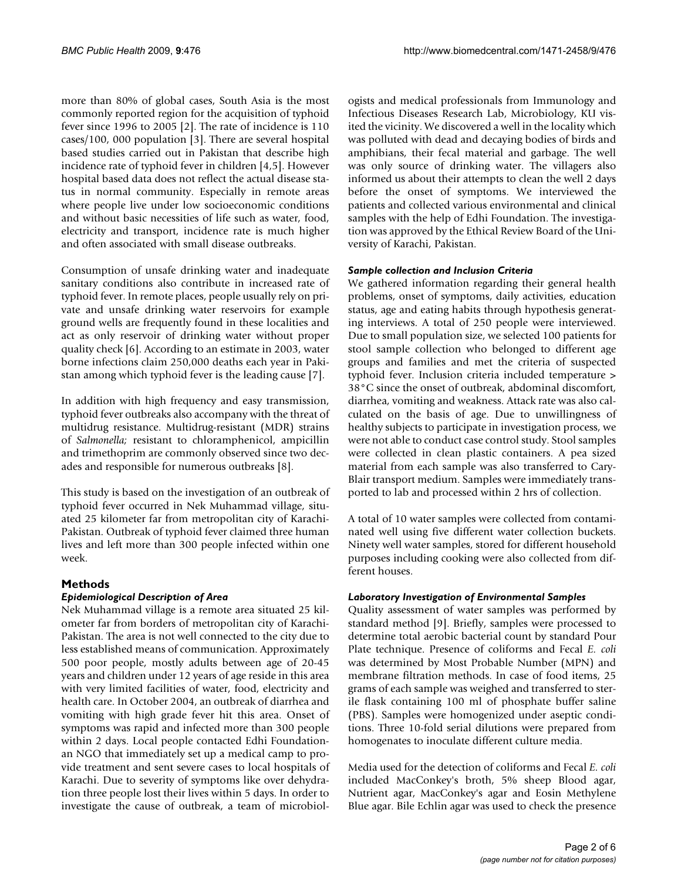more than 80% of global cases, South Asia is the most commonly reported region for the acquisition of typhoid fever since 1996 to 2005 [\[2\]](#page-5-1). The rate of incidence is 110 cases/100, 000 population [\[3\]](#page-5-2). There are several hospital based studies carried out in Pakistan that describe high incidence rate of typhoid fever in children [[4](#page-5-3),[5](#page-5-4)]. However hospital based data does not reflect the actual disease status in normal community. Especially in remote areas where people live under low socioeconomic conditions and without basic necessities of life such as water, food, electricity and transport, incidence rate is much higher and often associated with small disease outbreaks.

Consumption of unsafe drinking water and inadequate sanitary conditions also contribute in increased rate of typhoid fever. In remote places, people usually rely on private and unsafe drinking water reservoirs for example ground wells are frequently found in these localities and act as only reservoir of drinking water without proper quality check [\[6\]](#page-5-5). According to an estimate in 2003, water borne infections claim 250,000 deaths each year in Pakistan among which typhoid fever is the leading cause [[7](#page-5-6)].

In addition with high frequency and easy transmission, typhoid fever outbreaks also accompany with the threat of multidrug resistance. Multidrug-resistant (MDR) strains of *Salmonella;* resistant to chloramphenicol, ampicillin and trimethoprim are commonly observed since two decades and responsible for numerous outbreaks [[8](#page-5-7)].

This study is based on the investigation of an outbreak of typhoid fever occurred in Nek Muhammad village, situated 25 kilometer far from metropolitan city of Karachi-Pakistan. Outbreak of typhoid fever claimed three human lives and left more than 300 people infected within one week.

## **Methods**

## *Epidemiological Description of Area*

Nek Muhammad village is a remote area situated 25 kilometer far from borders of metropolitan city of Karachi-Pakistan. The area is not well connected to the city due to less established means of communication. Approximately 500 poor people, mostly adults between age of 20-45 years and children under 12 years of age reside in this area with very limited facilities of water, food, electricity and health care. In October 2004, an outbreak of diarrhea and vomiting with high grade fever hit this area. Onset of symptoms was rapid and infected more than 300 people within 2 days. Local people contacted Edhi Foundationan NGO that immediately set up a medical camp to provide treatment and sent severe cases to local hospitals of Karachi. Due to severity of symptoms like over dehydration three people lost their lives within 5 days. In order to investigate the cause of outbreak, a team of microbiologists and medical professionals from Immunology and Infectious Diseases Research Lab, Microbiology, KU visited the vicinity. We discovered a well in the locality which was polluted with dead and decaying bodies of birds and amphibians, their fecal material and garbage. The well was only source of drinking water. The villagers also informed us about their attempts to clean the well 2 days before the onset of symptoms. We interviewed the patients and collected various environmental and clinical samples with the help of Edhi Foundation. The investigation was approved by the Ethical Review Board of the University of Karachi, Pakistan.

## *Sample collection and Inclusion Criteria*

We gathered information regarding their general health problems, onset of symptoms, daily activities, education status, age and eating habits through hypothesis generating interviews. A total of 250 people were interviewed. Due to small population size, we selected 100 patients for stool sample collection who belonged to different age groups and families and met the criteria of suspected typhoid fever. Inclusion criteria included temperature > 38°C since the onset of outbreak, abdominal discomfort, diarrhea, vomiting and weakness. Attack rate was also calculated on the basis of age. Due to unwillingness of healthy subjects to participate in investigation process, we were not able to conduct case control study. Stool samples were collected in clean plastic containers. A pea sized material from each sample was also transferred to Cary-Blair transport medium. Samples were immediately transported to lab and processed within 2 hrs of collection.

A total of 10 water samples were collected from contaminated well using five different water collection buckets. Ninety well water samples, stored for different household purposes including cooking were also collected from different houses.

## *Laboratory Investigation of Environmental Samples*

Quality assessment of water samples was performed by standard method [\[9](#page-5-8)]. Briefly, samples were processed to determine total aerobic bacterial count by standard Pour Plate technique. Presence of coliforms and Fecal *E. coli* was determined by Most Probable Number (MPN) and membrane filtration methods. In case of food items, 25 grams of each sample was weighed and transferred to sterile flask containing 100 ml of phosphate buffer saline (PBS). Samples were homogenized under aseptic conditions. Three 10-fold serial dilutions were prepared from homogenates to inoculate different culture media.

Media used for the detection of coliforms and Fecal *E. coli* included MacConkey's broth, 5% sheep Blood agar, Nutrient agar, MacConkey's agar and Eosin Methylene Blue agar. Bile Echlin agar was used to check the presence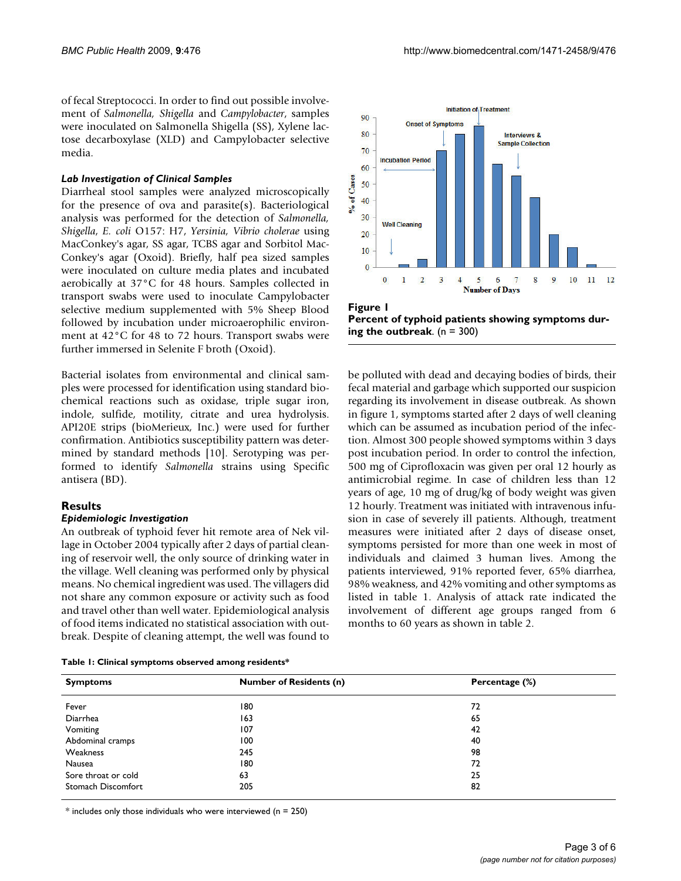of fecal Streptococci. In order to find out possible involvement of *Salmonella, Shigella* and *Campylobacter*, samples were inoculated on Salmonella Shigella (SS), Xylene lactose decarboxylase (XLD) and Campylobacter selective media.

## *Lab Investigation of Clinical Samples*

Diarrheal stool samples were analyzed microscopically for the presence of ova and parasite(s). Bacteriological analysis was performed for the detection of *Salmonella, Shigella*, *E. coli* O157: H7, *Yersinia, Vibrio cholerae* using MacConkey's agar, SS agar, TCBS agar and Sorbitol Mac-Conkey's agar (Oxoid). Briefly, half pea sized samples were inoculated on culture media plates and incubated aerobically at 37°C for 48 hours. Samples collected in transport swabs were used to inoculate Campylobacter selective medium supplemented with 5% Sheep Blood followed by incubation under microaerophilic environment at 42°C for 48 to 72 hours. Transport swabs were further immersed in Selenite F broth (Oxoid).

Bacterial isolates from environmental and clinical samples were processed for identification using standard biochemical reactions such as oxidase, triple sugar iron, indole, sulfide, motility, citrate and urea hydrolysis. API20E strips (bioMerieux, Inc.) were used for further confirmation. Antibiotics susceptibility pattern was determined by standard methods [\[10](#page-5-9)]. Serotyping was performed to identify *Salmonella* strains using Specific antisera (BD).

## **Results**

## *Epidemiologic Investigation*

An outbreak of typhoid fever hit remote area of Nek village in October 2004 typically after 2 days of partial cleaning of reservoir well, the only source of drinking water in the village. Well cleaning was performed only by physical means. No chemical ingredient was used. The villagers did not share any common exposure or activity such as food and travel other than well water. Epidemiological analysis of food items indicated no statistical association with outbreak. Despite of cleaning attempt, the well was found to

<span id="page-2-1"></span>

|  |  |  | Table 1: Clinical symptoms observed among residents* |  |  |  |
|--|--|--|------------------------------------------------------|--|--|--|
|--|--|--|------------------------------------------------------|--|--|--|

<span id="page-2-0"></span>



be polluted with dead and decaying bodies of birds, their fecal material and garbage which supported our suspicion regarding its involvement in disease outbreak. As shown in figure [1](#page-2-0), symptoms started after 2 days of well cleaning which can be assumed as incubation period of the infection. Almost 300 people showed symptoms within 3 days post incubation period. In order to control the infection, 500 mg of Ciprofloxacin was given per oral 12 hourly as antimicrobial regime. In case of children less than 12 years of age, 10 mg of drug/kg of body weight was given 12 hourly. Treatment was initiated with intravenous infusion in case of severely ill patients. Although, treatment measures were initiated after 2 days of disease onset, symptoms persisted for more than one week in most of individuals and claimed 3 human lives. Among the patients interviewed, 91% reported fever, 65% diarrhea, 98% weakness, and 42% vomiting and other symptoms as listed in table [1.](#page-2-1) Analysis of attack rate indicated the involvement of different age groups ranged from 6 months to 60 years as shown in table [2.](#page-3-0)

| <b>Symptoms</b>     | <b>Number of Residents (n)</b> | Percentage (%) |  |
|---------------------|--------------------------------|----------------|--|
|                     |                                |                |  |
| Fever               | 180                            | 72             |  |
| Diarrhea            | 163                            | 65             |  |
| Vomiting            | 107                            | 42             |  |
| Abdominal cramps    | 100                            | 40             |  |
| Weakness            | 245                            | 98             |  |
| Nausea              | 180                            | 72             |  |
| Sore throat or cold | 63                             | 25             |  |
| Stomach Discomfort  | 205                            | 82             |  |

 $*$  includes only those individuals who were interviewed (n = 250)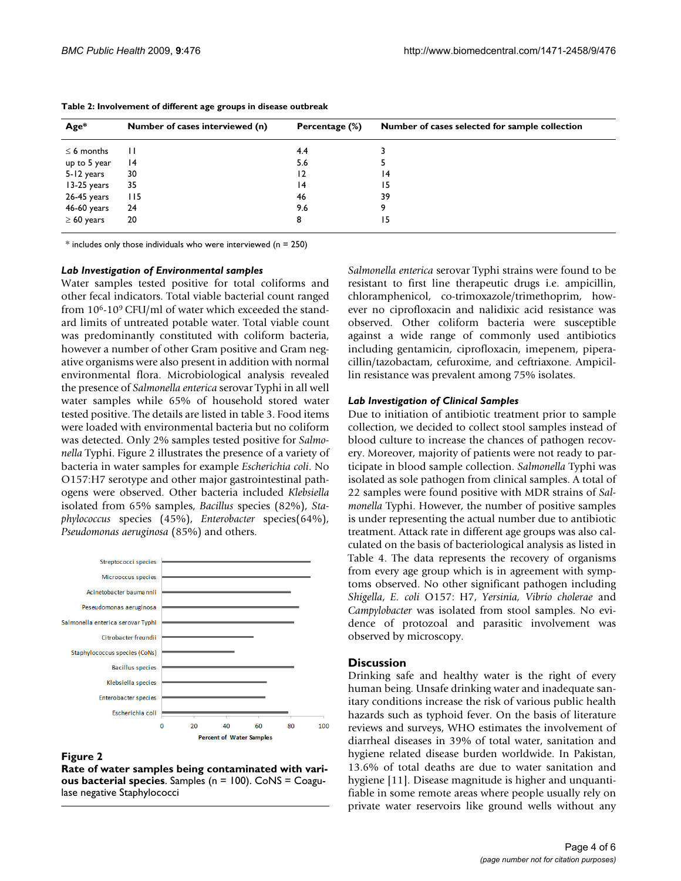| $Age*$          | Number of cases interviewed (n) | Percentage (%) | Number of cases selected for sample collection |
|-----------------|---------------------------------|----------------|------------------------------------------------|
| $\leq$ 6 months | п                               | 4.4            |                                                |
| up to 5 year    | $\overline{14}$                 | 5.6            |                                                |
| 5-12 years      | 30                              | 12             | $\overline{14}$                                |
| 13-25 years     | 35                              | 4              | 15                                             |
| 26-45 years     | 115                             | 46             | 39                                             |
| 46-60 years     | 24                              | 9.6            |                                                |
| $\geq 60$ years | 20                              | 8              | 15                                             |

#### <span id="page-3-0"></span>**Table 2: Involvement of different age groups in disease outbreak**

 $*$  includes only those individuals who were interviewed (n = 250)

#### *Lab Investigation of Environmental samples*

Water samples tested positive for total coliforms and other fecal indicators. Total viable bacterial count ranged from  $10<sup>6</sup>$ -10<sup>9</sup> CFU/ml of water which exceeded the standard limits of untreated potable water. Total viable count was predominantly constituted with coliform bacteria, however a number of other Gram positive and Gram negative organisms were also present in addition with normal environmental flora. Microbiological analysis revealed the presence of *Salmonella enterica* serovar Typhi in all well water samples while 65% of household stored water tested positive. The details are listed in table [3.](#page-4-0) Food items were loaded with environmental bacteria but no coliform was detected. Only 2% samples tested positive for *Salmonella* Typhi. Figure [2](#page-3-1) illustrates the presence of a variety of bacteria in water samples for example *Escherichia coli*. No O157:H7 serotype and other major gastrointestinal pathogens were observed. Other bacteria included *Klebsiella* isolated from 65% samples, *Bacillus* species (82%), *Staphylococcus* species (45%), *Enterobacter* species(64%), *Pseudomonas aeruginosa* (85%) and others.

<span id="page-3-1"></span>

#### **Figure 2**

**Rate of water samples being contaminated with various bacterial species**. Samples (n = 100). CoNS = Coagulase negative Staphylococci

*Salmonella enterica* serovar Typhi strains were found to be resistant to first line therapeutic drugs i.e. ampicillin, chloramphenicol, co-trimoxazole/trimethoprim, however no ciprofloxacin and nalidixic acid resistance was observed. Other coliform bacteria were susceptible against a wide range of commonly used antibiotics including gentamicin, ciprofloxacin, imepenem, piperacillin/tazobactam, cefuroxime, and ceftriaxone. Ampicillin resistance was prevalent among 75% isolates.

#### *Lab Investigation of Clinical Samples*

Due to initiation of antibiotic treatment prior to sample collection, we decided to collect stool samples instead of blood culture to increase the chances of pathogen recovery. Moreover, majority of patients were not ready to participate in blood sample collection. *Salmonella* Typhi was isolated as sole pathogen from clinical samples. A total of 22 samples were found positive with MDR strains of *Salmonella* Typhi. However, the number of positive samples is under representing the actual number due to antibiotic treatment. Attack rate in different age groups was also calculated on the basis of bacteriological analysis as listed in Table [4.](#page-4-1) The data represents the recovery of organisms from every age group which is in agreement with symptoms observed. No other significant pathogen including *Shigella*, *E. coli* O157: H7, *Yersinia, Vibrio cholerae* and *Campylobacter* was isolated from stool samples. No evidence of protozoal and parasitic involvement was observed by microscopy.

#### **Discussion**

Drinking safe and healthy water is the right of every human being. Unsafe drinking water and inadequate sanitary conditions increase the risk of various public health hazards such as typhoid fever. On the basis of literature reviews and surveys, WHO estimates the involvement of diarrheal diseases in 39% of total water, sanitation and hygiene related disease burden worldwide. In Pakistan, 13.6% of total deaths are due to water sanitation and hygiene [\[11\]](#page-5-10). Disease magnitude is higher and unquantifiable in some remote areas where people usually rely on private water reservoirs like ground wells without any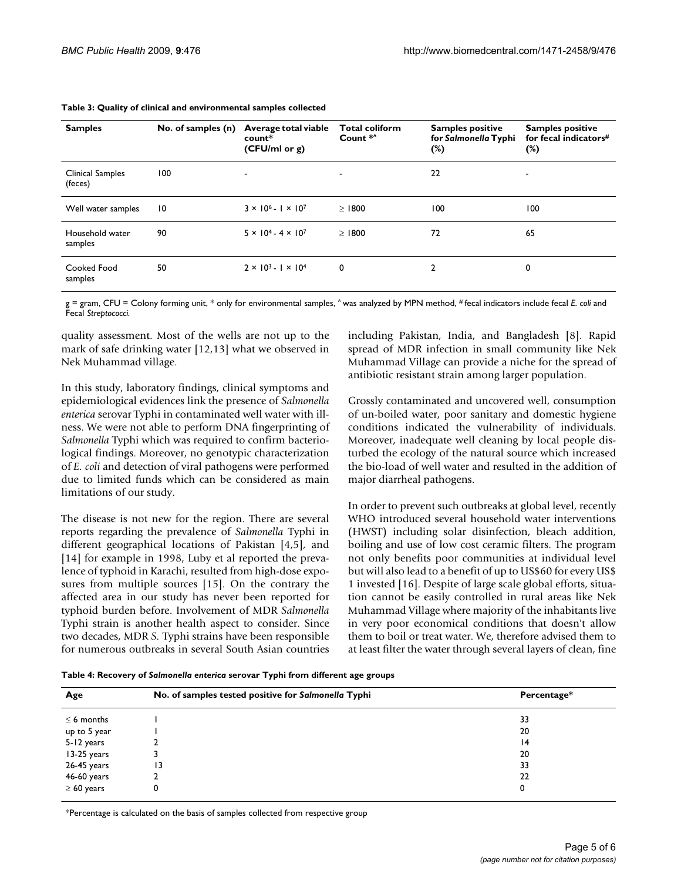| <b>Samples</b>              | No. of samples (n) | Average total viable<br>count*<br>(CFU/ml or g) | <b>Total coliform</b><br>Count <sup>*^</sup> | <b>Samples positive</b><br>for Salmonella Typhi<br>$(\%)$ | <b>Samples positive</b><br>for fecal indicators#<br>$(\%)$ |
|-----------------------------|--------------------|-------------------------------------------------|----------------------------------------------|-----------------------------------------------------------|------------------------------------------------------------|
| Clinical Samples<br>(feces) | 100                |                                                 |                                              | 22                                                        | $\overline{\phantom{a}}$                                   |
| Well water samples          | 10                 | $3 \times 10^{6} - 1 \times 10^{7}$             | >1800                                        | 100                                                       | 100                                                        |
| Household water<br>samples  | 90                 | $5 \times 10^4 - 4 \times 10^7$                 | >1800                                        | 72                                                        | 65                                                         |
| Cooked Food<br>samples      | 50                 | $2 \times 10^{3} - 1 \times 10^{4}$             | $\mathbf 0$                                  | 2                                                         | 0                                                          |

#### <span id="page-4-0"></span>**Table 3: Quality of clinical and environmental samples collected**

g = gram, CFU = Colony forming unit, \* only for environmental samples, ^ was analyzed by MPN method, # fecal indicators include fecal *E. coli* and Fecal *Streptococci.*

quality assessment. Most of the wells are not up to the mark of safe drinking water [\[12](#page-5-11),[13](#page-5-12)] what we observed in Nek Muhammad village.

In this study, laboratory findings, clinical symptoms and epidemiological evidences link the presence of *Salmonella enterica* serovar Typhi in contaminated well water with illness. We were not able to perform DNA fingerprinting of *Salmonella* Typhi which was required to confirm bacteriological findings. Moreover, no genotypic characterization of *E. coli* and detection of viral pathogens were performed due to limited funds which can be considered as main limitations of our study.

The disease is not new for the region. There are several reports regarding the prevalence of *Salmonella* Typhi in different geographical locations of Pakistan [[4](#page-5-3),[5](#page-5-4)], and [[14](#page-5-13)] for example in 1998, Luby et al reported the prevalence of typhoid in Karachi, resulted from high-dose exposures from multiple sources [[15\]](#page-5-14). On the contrary the affected area in our study has never been reported for typhoid burden before. Involvement of MDR *Salmonella* Typhi strain is another health aspect to consider. Since two decades, MDR *S.* Typhi strains have been responsible for numerous outbreaks in several South Asian countries including Pakistan, India, and Bangladesh [\[8\]](#page-5-7). Rapid spread of MDR infection in small community like Nek Muhammad Village can provide a niche for the spread of antibiotic resistant strain among larger population.

Grossly contaminated and uncovered well, consumption of un-boiled water, poor sanitary and domestic hygiene conditions indicated the vulnerability of individuals. Moreover, inadequate well cleaning by local people disturbed the ecology of the natural source which increased the bio-load of well water and resulted in the addition of major diarrheal pathogens.

In order to prevent such outbreaks at global level, recently WHO introduced several household water interventions (HWST) including solar disinfection, bleach addition, boiling and use of low cost ceramic filters. The program not only benefits poor communities at individual level but will also lead to a benefit of up to US\$60 for every US\$ 1 invested [\[16](#page-5-15)]. Despite of large scale global efforts, situation cannot be easily controlled in rural areas like Nek Muhammad Village where majority of the inhabitants live in very poor economical conditions that doesn't allow them to boil or treat water. We, therefore advised them to at least filter the water through several layers of clean, fine

<span id="page-4-1"></span>**Table 4: Recovery of** *Salmonella enterica* **serovar Typhi from different age groups**

| Age             | No. of samples tested positive for Salmonella Typhi | Percentage* |
|-----------------|-----------------------------------------------------|-------------|
| $\leq$ 6 months |                                                     | 33          |
| up to 5 year    |                                                     | 20          |
| 5-12 years      |                                                     | 4           |
| 13-25 years     |                                                     | 20          |
| 26-45 years     | 13                                                  | 33          |
| 46-60 years     |                                                     | 22          |
| $\geq 60$ years |                                                     | 0           |

\*Percentage is calculated on the basis of samples collected from respective group